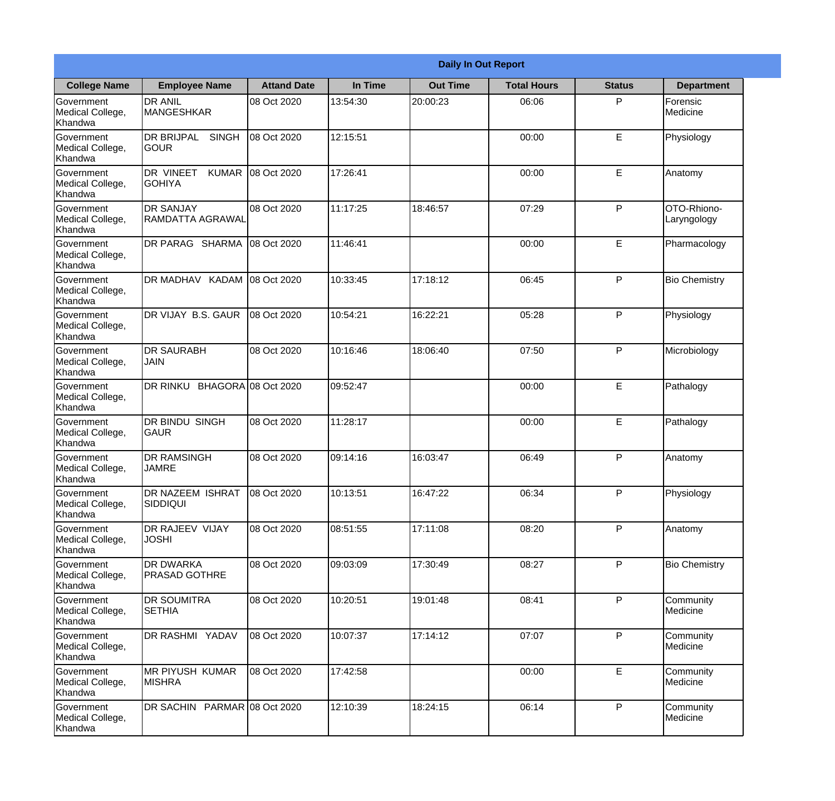|                                                  | <b>Daily In Out Report</b>                          |                     |          |                 |                    |               |                            |  |
|--------------------------------------------------|-----------------------------------------------------|---------------------|----------|-----------------|--------------------|---------------|----------------------------|--|
| <b>College Name</b>                              | <b>Employee Name</b>                                | <b>Attand Date</b>  | In Time  | <b>Out Time</b> | <b>Total Hours</b> | <b>Status</b> | <b>Department</b>          |  |
| Government<br>Medical College,<br>Khandwa        | <b>DR ANIL</b><br><b>MANGESHKAR</b>                 | 08 Oct 2020         | 13:54:30 | 20:00:23        | 06:06              | P             | Forensic<br>Medicine       |  |
| Government<br>Medical College,<br>Khandwa        | <b>DR BRIJPAL</b><br><b>SINGH</b><br> GOUR          | 08 Oct 2020         | 12:15:51 |                 | 00:00              | E             | Physiology                 |  |
| <b>Government</b><br>Medical College,<br>Khandwa | <b>DR VINEET</b><br><b>KUMAR</b><br><b>I</b> GOHIYA | 08 Oct 2020         | 17:26:41 |                 | 00:00              | E             | Anatomy                    |  |
| Government<br>Medical College,<br>Khandwa        | <b>DR SANJAY</b><br><b>RAMDATTA AGRAWAL</b>         | 08 Oct 2020         | 11:17:25 | 18:46:57        | 07:29              | P             | OTO-Rhiono-<br>Laryngology |  |
| Government<br>Medical College,<br>Khandwa        | <b>DR PARAG SHARMA</b>                              | 08 Oct 2020         | 11:46:41 |                 | 00:00              | E             | Pharmacology               |  |
| Government<br>Medical College,<br>Khandwa        | DR MADHAV KADAM                                     | 08 Oct 2020         | 10:33:45 | 17:18:12        | 06:45              | P             | <b>Bio Chemistry</b>       |  |
| Government<br>Medical College,<br>Khandwa        | DR VIJAY B.S. GAUR                                  | 08 Oct 2020         | 10:54:21 | 16:22:21        | 05:28              | P             | Physiology                 |  |
| <b>Government</b><br>Medical College,<br>Khandwa | <b>DR SAURABH</b><br><b>JAIN</b>                    | 08 Oct 2020         | 10:16:46 | 18:06:40        | 07:50              | P             | Microbiology               |  |
| Government<br>Medical College,<br>Khandwa        | DR RINKU                                            | BHAGORA 08 Oct 2020 | 09:52:47 |                 | 00:00              | E             | Pathalogy                  |  |
| Government<br>Medical College,<br>Khandwa        | <b>DR BINDU SINGH</b><br><b>GAUR</b>                | 08 Oct 2020         | 11:28:17 |                 | 00:00              | E             | Pathalogy                  |  |
| Government<br>Medical College,<br>Khandwa        | <b>DR RAMSINGH</b><br><b>JAMRE</b>                  | 08 Oct 2020         | 09:14:16 | 16:03:47        | 06:49              | $\mathsf{P}$  | Anatomy                    |  |
| Government<br>Medical College,<br>Khandwa        | DR NAZEEM ISHRAT<br><b>SIDDIQUI</b>                 | 08 Oct 2020         | 10:13:51 | 16:47:22        | 06:34              | P             | Physiology                 |  |
| Government<br>Medical College,<br>Khandwa        | <b>DR RAJEEV VIJAY</b><br><b>JOSHI</b>              | 08 Oct 2020         | 08:51:55 | 17:11:08        | 08:20              | P             | Anatomy                    |  |
| Government<br>Medical College,<br>Khandwa        | <b>DR DWARKA</b><br><b>PRASAD GOTHRE</b>            | 08 Oct 2020         | 09:03:09 | 17:30:49        | 08:27              | P             | <b>Bio Chemistry</b>       |  |
| Government<br>Medical College,<br>Khandwa        | <b>DR SOUMITRA</b><br><b>SETHIA</b>                 | 08 Oct 2020         | 10:20:51 | 19:01:48        | 08:41              | $\mathsf{P}$  | Community<br>Medicine      |  |
| Government<br>Medical College,<br>Khandwa        | DR RASHMI YADAV                                     | 08 Oct 2020         | 10:07:37 | 17:14:12        | 07:07              | P             | Community<br>Medicine      |  |
| Government<br>Medical College,<br>Khandwa        | <b>MR PIYUSH KUMAR</b><br><b>MISHRA</b>             | 08 Oct 2020         | 17:42:58 |                 | 00:00              | E             | Community<br>Medicine      |  |
| Government<br>Medical College,<br>Khandwa        | DR SACHIN PARMAR 08 Oct 2020                        |                     | 12:10:39 | 18:24:15        | 06:14              | P             | Community<br>Medicine      |  |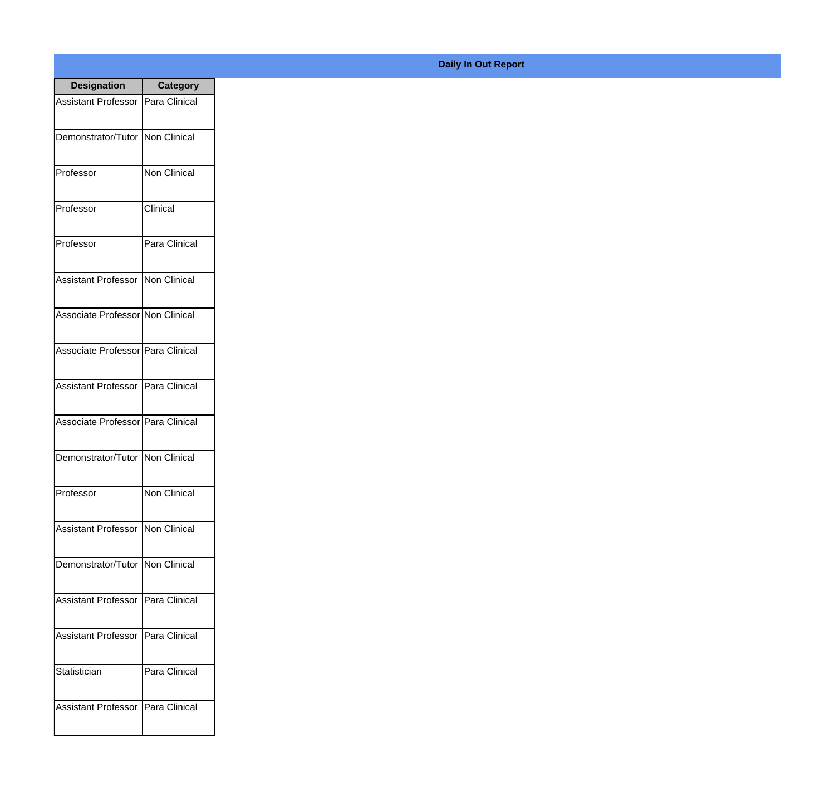| <b>Designation</b>                  | <b>Category</b> |
|-------------------------------------|-----------------|
| Assistant Professor   Para Clinical |                 |
| Demonstrator/Tutor   Non Clinical   |                 |
| Professor                           | Non Clinical    |
| Professor                           | Clinical        |
| Professor                           | Para Clinical   |
| Assistant Professor                 | Non Clinical    |
| Associate Professor Non Clinical    |                 |
| Associate Professor Para Clinical   |                 |
| Assistant Professor   Para Clinical |                 |
| Associate Professor   Para Clinical |                 |
| Demonstrator/Tutor                  | Non Clinical    |
| Professor                           | Non Clinical    |
| Assistant Professor   Non Clinical  |                 |
| Demonstrator/Tutor   Non Clinical   |                 |
| <b>Assistant Professor</b>          | Para Clinical   |
| <b>Assistant Professor</b>          | Para Clinical   |
| Statistician                        | Para Clinical   |
| <b>Assistant Professor</b>          | Para Clinical   |

**Daily In Out Report**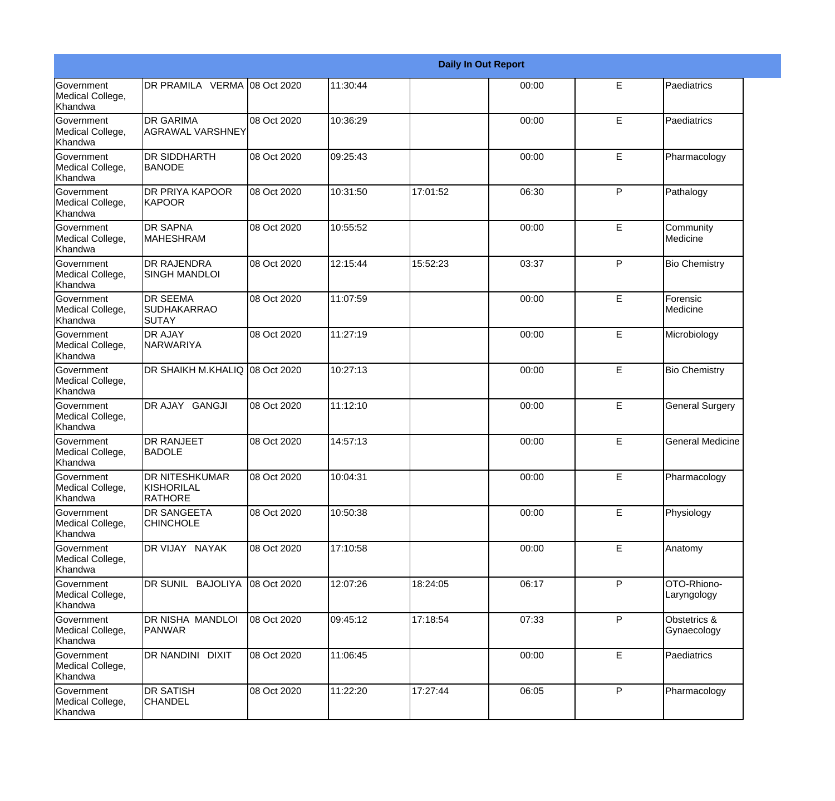|                                                         | <b>Daily In Out Report</b>                            |             |          |          |       |              |                             |  |
|---------------------------------------------------------|-------------------------------------------------------|-------------|----------|----------|-------|--------------|-----------------------------|--|
| <b>Government</b><br>Medical College,<br>Khandwa        | DR PRAMILA VERMA 08 Oct 2020                          |             | 11:30:44 |          | 00:00 | E            | Paediatrics                 |  |
| <b>Government</b><br>Medical College,<br>Khandwa        | <b>DR GARIMA</b><br><b>AGRAWAL VARSHNEY</b>           | 08 Oct 2020 | 10:36:29 |          | 00:00 | E            | Paediatrics                 |  |
| <b>Government</b><br>Medical College,<br><b>Khandwa</b> | <b>DR SIDDHARTH</b><br><b>BANODE</b>                  | 08 Oct 2020 | 09:25:43 |          | 00:00 | E.           | Pharmacology                |  |
| <b>Government</b><br>Medical College,<br>Khandwa        | <b>DR PRIYA KAPOOR</b><br>KAPOOR                      | 08 Oct 2020 | 10:31:50 | 17:01:52 | 06:30 | $\mathsf{P}$ | Pathalogy                   |  |
| Government<br>Medical College,<br>Khandwa               | <b>DR SAPNA</b><br><b>MAHESHRAM</b>                   | 08 Oct 2020 | 10:55:52 |          | 00:00 | E            | Community<br>Medicine       |  |
| Government<br>Medical College,<br>Khandwa               | <b>DR RAJENDRA</b><br><b>SINGH MANDLOI</b>            | 08 Oct 2020 | 12:15:44 | 15:52:23 | 03:37 | $\mathsf{P}$ | <b>Bio Chemistry</b>        |  |
| Government<br>Medical College,<br>Khandwa               | <b>DR SEEMA</b><br>SUDHAKARRAO<br><b>SUTAY</b>        | 08 Oct 2020 | 11:07:59 |          | 00:00 | E            | Forensic<br>Medicine        |  |
| Government<br>Medical College,<br>Khandwa               | <b>DR AJAY</b><br>NARWARIYA                           | 08 Oct 2020 | 11:27:19 |          | 00:00 | E            | Microbiology                |  |
| Government<br>Medical College,<br>Khandwa               | DR SHAIKH M.KHALIQ 08 Oct 2020                        |             | 10:27:13 |          | 00:00 | E            | <b>Bio Chemistry</b>        |  |
| <b>Government</b><br>Medical College,<br>Khandwa        | DR AJAY GANGJI                                        | 08 Oct 2020 | 11:12:10 |          | 00:00 | E            | <b>General Surgery</b>      |  |
| <b>Government</b><br>Medical College,<br>Khandwa        | <b>DR RANJEET</b><br><b>BADOLE</b>                    | 08 Oct 2020 | 14:57:13 |          | 00:00 | E            | <b>General Medicine</b>     |  |
| Government<br>Medical College,<br>Khandwa               | <b>DR NITESHKUMAR</b><br>KISHORILAL<br><b>RATHORE</b> | 08 Oct 2020 | 10:04:31 |          | 00:00 | E            | Pharmacology                |  |
| <b>Government</b><br>Medical College,<br>Khandwa        | <b>DR SANGEETA</b><br><b>CHINCHOLE</b>                | 08 Oct 2020 | 10:50:38 |          | 00:00 | E            | Physiology                  |  |
| Government<br>Medical College,<br>Khandwa               | DR VIJAY NAYAK                                        | 08 Oct 2020 | 17:10:58 |          | 00:00 | E            | Anatomy                     |  |
| Government<br>Medical College,<br>Khandwa               | DR SUNIL BAJOLIYA 08 Oct 2020                         |             | 12:07:26 | 18:24:05 | 06:17 | P            | OTO-Rhiono-<br>Laryngology  |  |
| Government<br>Medical College,<br>Khandwa               | <b>DR NISHA MANDLOI</b><br>PANWAR                     | 08 Oct 2020 | 09:45:12 | 17:18:54 | 07:33 | P            | Obstetrics &<br>Gynaecology |  |
| Government<br>Medical College,<br>Khandwa               | DR NANDINI DIXIT                                      | 08 Oct 2020 | 11:06:45 |          | 00:00 | E            | Paediatrics                 |  |
| Government<br>Medical College,<br>Khandwa               | <b>DR SATISH</b><br><b>CHANDEL</b>                    | 08 Oct 2020 | 11:22:20 | 17:27:44 | 06:05 | P            | Pharmacology                |  |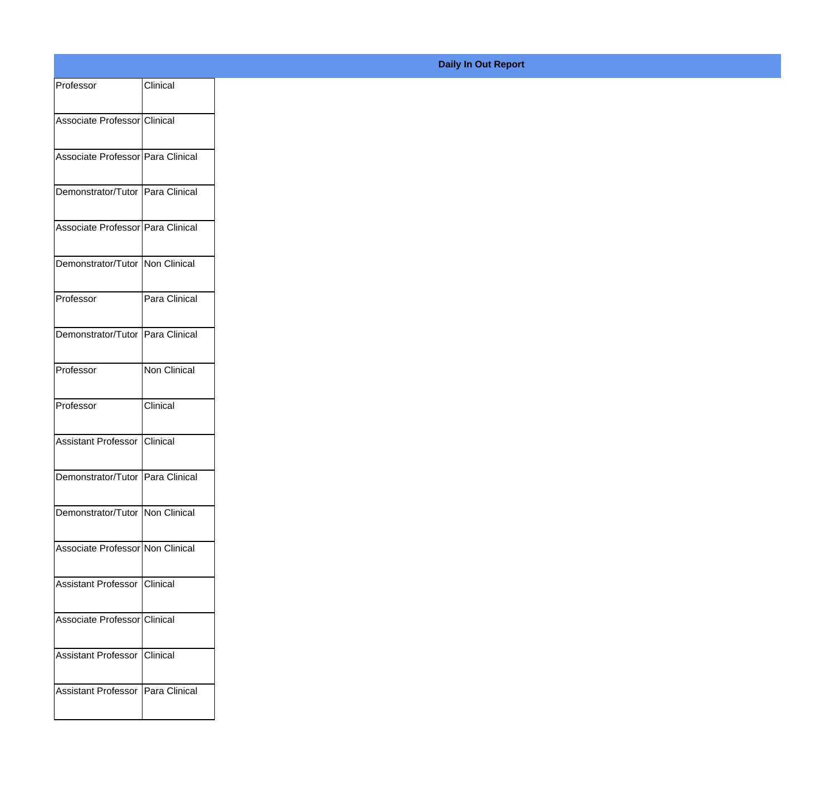| Professor                           | Clinical      |
|-------------------------------------|---------------|
|                                     |               |
| Associate Professor Clinical        |               |
| Associate Professor Para Clinical   |               |
| Demonstrator/Tutor Para Clinical    |               |
|                                     |               |
| Associate Professor Para Clinical   |               |
| Demonstrator/Tutor Non Clinical     |               |
|                                     |               |
| Professor                           | Para Clinical |
| Demonstrator/Tutor Para Clinical    |               |
|                                     |               |
| Professor                           | Non Clinical  |
| Professor                           | Clinical      |
| Assistant Professor Clinical        |               |
|                                     |               |
| Demonstrator/Tutor Para Clinical    |               |
| Demonstrator/Tutor   Non Clinical   |               |
|                                     |               |
| Associate Professor Non Clinical    |               |
| Assistant Professor Clinical        |               |
|                                     |               |
| Associate Professor Clinical        |               |
| Assistant Professor Clinical        |               |
|                                     |               |
| Assistant Professor   Para Clinical |               |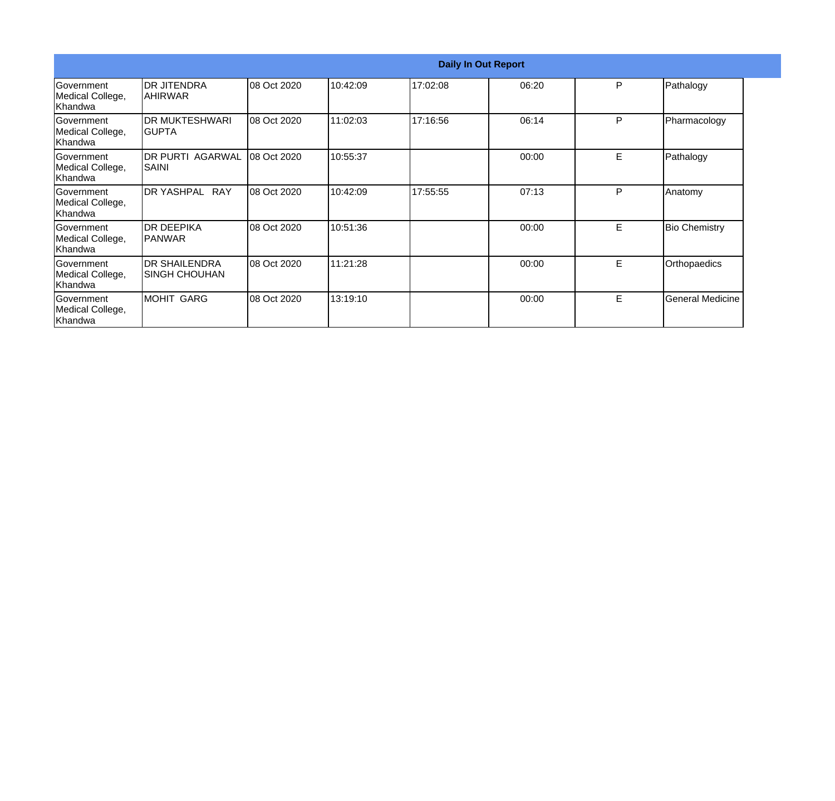|                                                  | <b>Daily In Out Report</b>                    |             |          |          |       |    |                         |  |
|--------------------------------------------------|-----------------------------------------------|-------------|----------|----------|-------|----|-------------------------|--|
| Government<br>Medical College,<br> Khandwa       | <b>DR JITENDRA</b><br> AHIRWAR                | 08 Oct 2020 | 10:42:09 | 17:02:08 | 06:20 | P  | Pathalogy               |  |
| Government<br>Medical College,<br>Khandwa        | <b>DR MUKTESHWARI</b><br>IGUPTA               | 08 Oct 2020 | 11:02:03 | 17:16:56 | 06:14 | P  | Pharmacology            |  |
| Government<br>Medical College,<br>Khandwa        | <b>DR PURTI AGARWAL</b><br>SAINI              | 08 Oct 2020 | 10:55:37 |          | 00:00 | E  | Pathalogy               |  |
| Government<br>Medical College,<br>Khandwa        | DR YASHPAL RAY                                | 08 Oct 2020 | 10:42:09 | 17:55:55 | 07:13 | P  | Anatomy                 |  |
| Government<br>Medical College,<br>Khandwa        | IDR DEEPIKA<br><b>IPANWAR</b>                 | 08 Oct 2020 | 10:51:36 |          | 00:00 | E. | <b>Bio Chemistry</b>    |  |
| Government<br>Medical College,<br>Khandwa        | <b>DR SHAILENDRA</b><br><b>ISINGH CHOUHAN</b> | 08 Oct 2020 | 11:21:28 |          | 00:00 | E  | Orthopaedics            |  |
| <b>Sovernment</b><br>Medical College,<br>Khandwa | MOHIT GARG                                    | 08 Oct 2020 | 13:19:10 |          | 00:00 | E. | <b>General Medicine</b> |  |